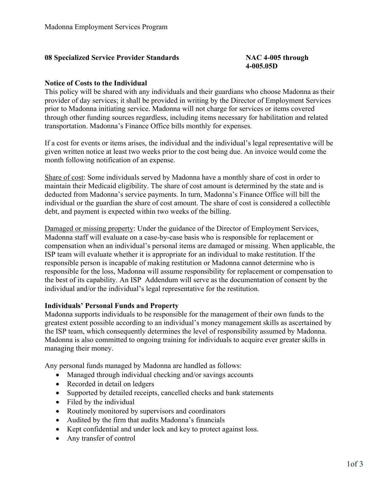## **08 Specialized Service Provider Standards NAC 4-005 through**

## **4-005.05D**

## **Notice of Costs to the Individual**

This policy will be shared with any individuals and their guardians who choose Madonna as their provider of day services; it shall be provided in writing by the Director of Employment Services prior to Madonna initiating service. Madonna will not charge for services or items covered through other funding sources regardless, including items necessary for habilitation and related transportation. Madonna's Finance Office bills monthly for expenses.

If a cost for events or items arises, the individual and the individual's legal representative will be given written notice at least two weeks prior to the cost being due. An invoice would come the month following notification of an expense.

Share of cost: Some individuals served by Madonna have a monthly share of cost in order to maintain their Medicaid eligibility. The share of cost amount is determined by the state and is deducted from Madonna's service payments. In turn, Madonna's Finance Office will bill the individual or the guardian the share of cost amount. The share of cost is considered a collectible debt, and payment is expected within two weeks of the billing.

Damaged or missing property: Under the guidance of the Director of Employment Services, Madonna staff will evaluate on a case-by-case basis who is responsible for replacement or compensation when an individual's personal items are damaged or missing. When applicable, the ISP team will evaluate whether it is appropriate for an individual to make restitution. If the responsible person is incapable of making restitution or Madonna cannot determine who is responsible for the loss, Madonna will assume responsibility for replacement or compensation to the best of its capability. An ISP Addendum will serve as the documentation of consent by the individual and/or the individual's legal representative for the restitution.

## **Individuals' Personal Funds and Property**

Madonna supports individuals to be responsible for the management of their own funds to the greatest extent possible according to an individual's money management skills as ascertained by the ISP team, which consequently determines the level of responsibility assumed by Madonna. Madonna is also committed to ongoing training for individuals to acquire ever greater skills in managing their money.

Any personal funds managed by Madonna are handled as follows:

- Managed through individual checking and/or savings accounts
- Recorded in detail on ledgers
- Supported by detailed receipts, cancelled checks and bank statements
- Filed by the individual
- Routinely monitored by supervisors and coordinators
- Audited by the firm that audits Madonna's financials
- Kept confidential and under lock and key to protect against loss.
- Any transfer of control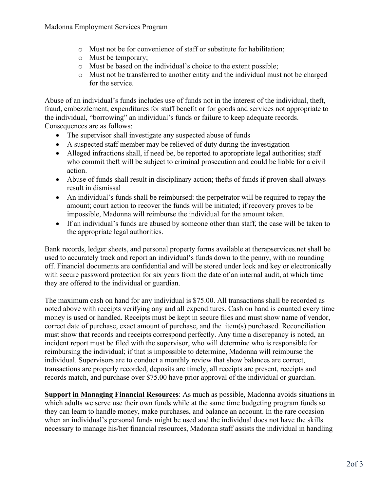- o Must not be for convenience of staff or substitute for habilitation;
- o Must be temporary;
- o Must be based on the individual's choice to the extent possible;
- o Must not be transferred to another entity and the individual must not be charged for the service.

Abuse of an individual's funds includes use of funds not in the interest of the individual, theft, fraud, embezzlement, expenditures for staff benefit or for goods and services not appropriate to the individual, "borrowing" an individual's funds or failure to keep adequate records. Consequences are as follows:

- The supervisor shall investigate any suspected abuse of funds
- A suspected staff member may be relieved of duty during the investigation
- Alleged infractions shall, if need be, be reported to appropriate legal authorities; staff who commit theft will be subject to criminal prosecution and could be liable for a civil action.
- Abuse of funds shall result in disciplinary action; thefts of funds if proven shall always result in dismissal
- An individual's funds shall be reimbursed: the perpetrator will be required to repay the amount; court action to recover the funds will be initiated; if recovery proves to be impossible, Madonna will reimburse the individual for the amount taken.
- If an individual's funds are abused by someone other than staff, the case will be taken to the appropriate legal authorities.

Bank records, ledger sheets, and personal property forms available at therapservices.net shall be used to accurately track and report an individual's funds down to the penny, with no rounding off. Financial documents are confidential and will be stored under lock and key or electronically with secure password protection for six years from the date of an internal audit, at which time they are offered to the individual or guardian.

The maximum cash on hand for any individual is \$75.00. All transactions shall be recorded as noted above with receipts verifying any and all expenditures. Cash on hand is counted every time money is used or handled. Receipts must be kept in secure files and must show name of vendor, correct date of purchase, exact amount of purchase, and the item(s) purchased. Reconciliation must show that records and receipts correspond perfectly. Any time a discrepancy is noted, an incident report must be filed with the supervisor, who will determine who is responsible for reimbursing the individual; if that is impossible to determine, Madonna will reimburse the individual. Supervisors are to conduct a monthly review that show balances are correct, transactions are properly recorded, deposits are timely, all receipts are present, receipts and records match, and purchase over \$75.00 have prior approval of the individual or guardian.

**Support in Managing Financial Resources**: As much as possible, Madonna avoids situations in which adults we serve use their own funds while at the same time budgeting program funds so they can learn to handle money, make purchases, and balance an account. In the rare occasion when an individual's personal funds might be used and the individual does not have the skills necessary to manage his/her financial resources, Madonna staff assists the individual in handling